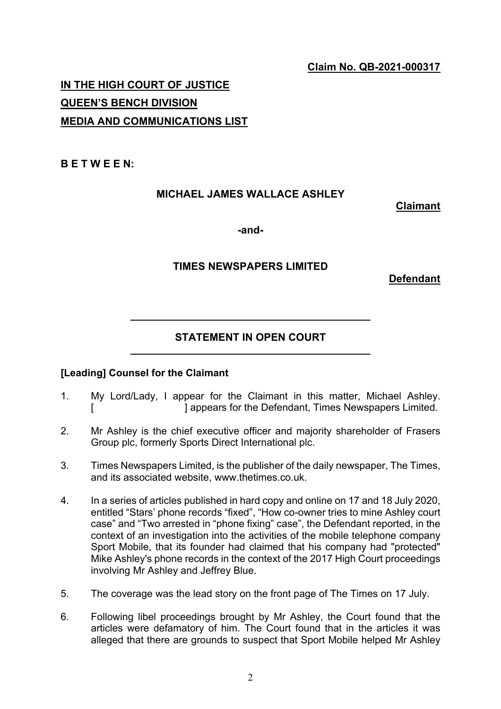## **Claim No. QB-2021-000317**

# **IN THE HIGH COURT OF JUSTICE QUEEN'S BENCH DIVISION MEDIA AND COMMUNICATIONS LIST**

#### **B E T W E E N:**

## **MICHAEL JAMES WALLACE ASHLEY**

#### **Claimant**

**-and-**

## **TIMES NEWSPAPERS LIMITED**

**Defendant**

## **STATEMENT IN OPEN COURT \_\_\_\_\_\_\_\_\_\_\_\_\_\_\_\_\_\_\_\_\_\_\_\_\_\_\_\_\_\_\_\_\_\_\_\_\_\_\_\_\_**

**\_\_\_\_\_\_\_\_\_\_\_\_\_\_\_\_\_\_\_\_\_\_\_\_\_\_\_\_\_\_\_\_\_\_\_\_\_\_\_\_\_**

#### **[Leading] Counsel for the Claimant**

- 1. My Lord/Lady, I appear for the Claimant in this matter, Michael Ashley. [ ] appears for the Defendant, Times Newspapers Limited.
- 2. Mr Ashley is the chief executive officer and majority shareholder of Frasers Group plc, formerly Sports Direct International plc.
- 3. Times Newspapers Limited, is the publisher of the daily newspaper, The Times, and its associated website, www.thetimes.co.uk.
- 4. In a series of articles published in hard copy and online on 17 and 18 July 2020, entitled "Stars' phone records "fixed", "How co-owner tries to mine Ashley court case" and "Two arrested in "phone fixing" case", the Defendant reported, in the context of an investigation into the activities of the mobile telephone company Sport Mobile, that its founder had claimed that his company had "protected" Mike Ashley's phone records in the context of the 2017 High Court proceedings involving Mr Ashley and Jeffrey Blue.
- 5. The coverage was the lead story on the front page of The Times on 17 July.
- 6. Following libel proceedings brought by Mr Ashley, the Court found that the articles were defamatory of him. The Court found that in the articles it was alleged that there are grounds to suspect that Sport Mobile helped Mr Ashley